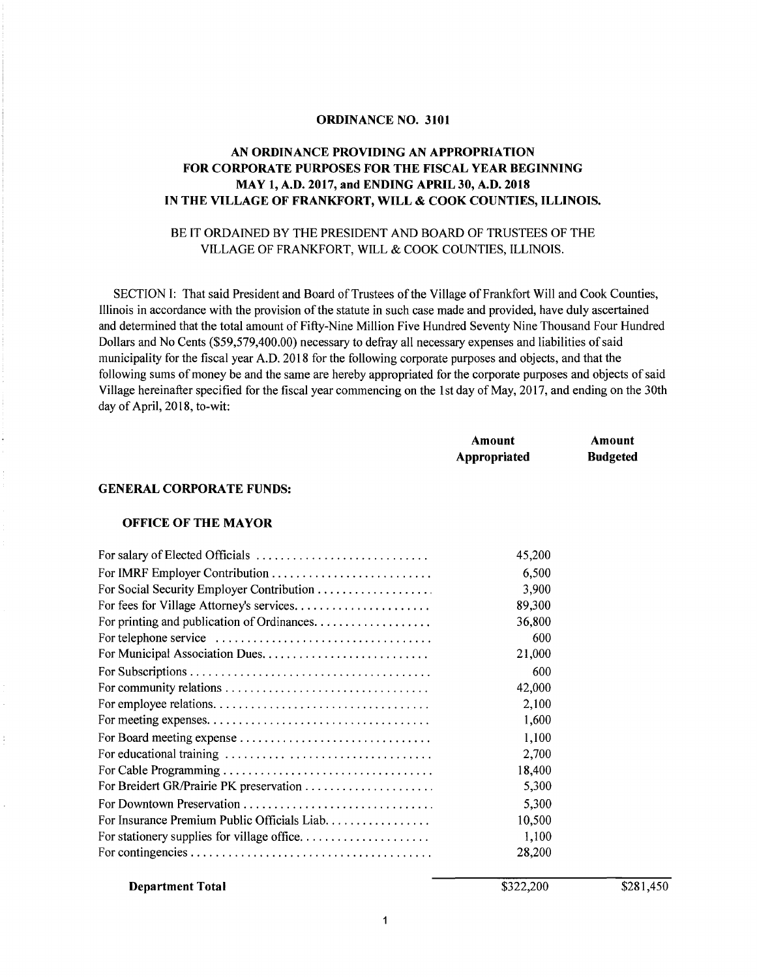#### **ORDINANCE NO. 3101**

#### **AN ORDINANCE PROVIDING AN APPROPRIATION FOR CORPORATE PURPOSES FOR THE FISCAL YEAR BEGINNING MAY 1, A.O. 2017, and ENDING APRIL 30, A.O. 2018 IN THE VILLAGE OF FRANKFORT, WILL & COOK COUNTIES, ILLINOIS.**

### BE IT ORDAINED BY THE PRESIDENT AND BOARD OF TRUSTEES OF THE VILLAGE OF FRANKFORT, WILL & COOK COUNTIES, ILLINOIS.

SECTION I: That said President and Board of Trustees of the Village of Frankfort Will and Cook Counties, Illinois in accordance with the provision of the statute in such case made and provided, have duly ascertained and determined that the total amount of Fifty-Nine Million Five Hundred Seventy Nine Thousand Four Hundred Dollars and No Cents (\$59,579,400.00) necessary to defray all necessary expenses and liabilities of said municipality for the fiscal year A.D. 2018 for the following corporate purposes and objects, and that the following sums of money be and the same are hereby appropriated for the corporate purposes and objects of said Village hereinafter specified for the fiscal year commencing on the 1st day of May, 2017, and ending on the 30th day of April, 2018, to-wit:

| Amount       | Amount          |
|--------------|-----------------|
| Appropriated | <b>Budgeted</b> |

#### **GENERAL CORPORATE FUNDS:**

#### **OFFICE OF THE MAYOR**

|                                              | 45,200 |
|----------------------------------------------|--------|
|                                              | 6,500  |
|                                              | 3,900  |
| For fees for Village Attorney's services     | 89,300 |
|                                              | 36,800 |
|                                              | 600    |
|                                              | 21,000 |
|                                              | 600    |
|                                              | 42,000 |
|                                              | 2,100  |
|                                              | 1,600  |
|                                              | 1,100  |
|                                              | 2,700  |
|                                              | 18,400 |
| For Breidert GR/Prairie PK preservation      | 5,300  |
|                                              | 5,300  |
| For Insurance Premium Public Officials Liab. | 10,500 |
|                                              | 1,100  |
|                                              | 28,200 |

**Department Total** 

\$322,200

\$281,450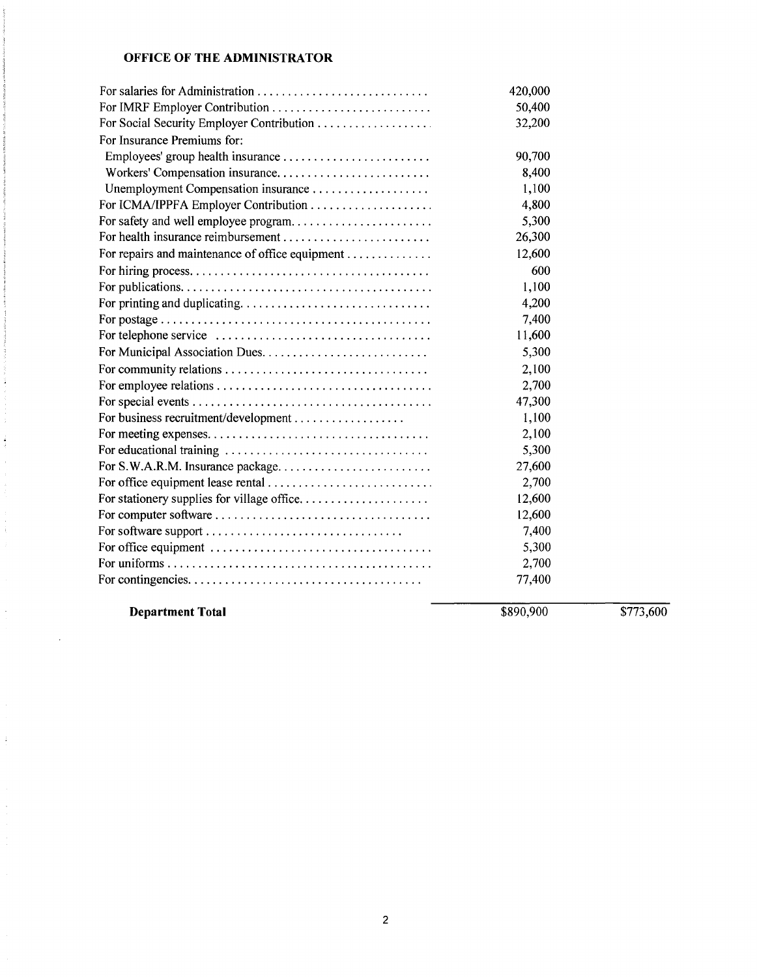# **OFFICE OF THE ADMINISTRATOR**

|                                                 | 420,000 |  |
|-------------------------------------------------|---------|--|
|                                                 | 50,400  |  |
|                                                 | 32,200  |  |
| For Insurance Premiums for:                     |         |  |
|                                                 | 90,700  |  |
| Workers' Compensation insurance                 | 8,400   |  |
| Unemployment Compensation insurance             | 1,100   |  |
|                                                 | 4,800   |  |
| For safety and well employee program            | 5,300   |  |
|                                                 | 26,300  |  |
| For repairs and maintenance of office equipment | 12,600  |  |
|                                                 | 600     |  |
|                                                 | 1,100   |  |
|                                                 | 4,200   |  |
|                                                 | 7,400   |  |
|                                                 | 11,600  |  |
|                                                 | 5,300   |  |
|                                                 | 2,100   |  |
|                                                 | 2,700   |  |
|                                                 | 47,300  |  |
|                                                 | 1,100   |  |
|                                                 | 2,100   |  |
|                                                 | 5,300   |  |
| For S.W.A.R.M. Insurance package                | 27,600  |  |
|                                                 | 2,700   |  |
|                                                 | 12,600  |  |
|                                                 | 12,600  |  |
|                                                 | 7,400   |  |
|                                                 | 5,300   |  |
|                                                 | 2,700   |  |
|                                                 | 77,400  |  |
|                                                 |         |  |

**Department Total** 

Í.

 $\frac{1}{2}$ 

 $\mathbb{R}^2$ 

 $\frac{1}{2}$ 

ä,

 $\hat{\mathcal{L}}$ 

\$890,900 \$773,600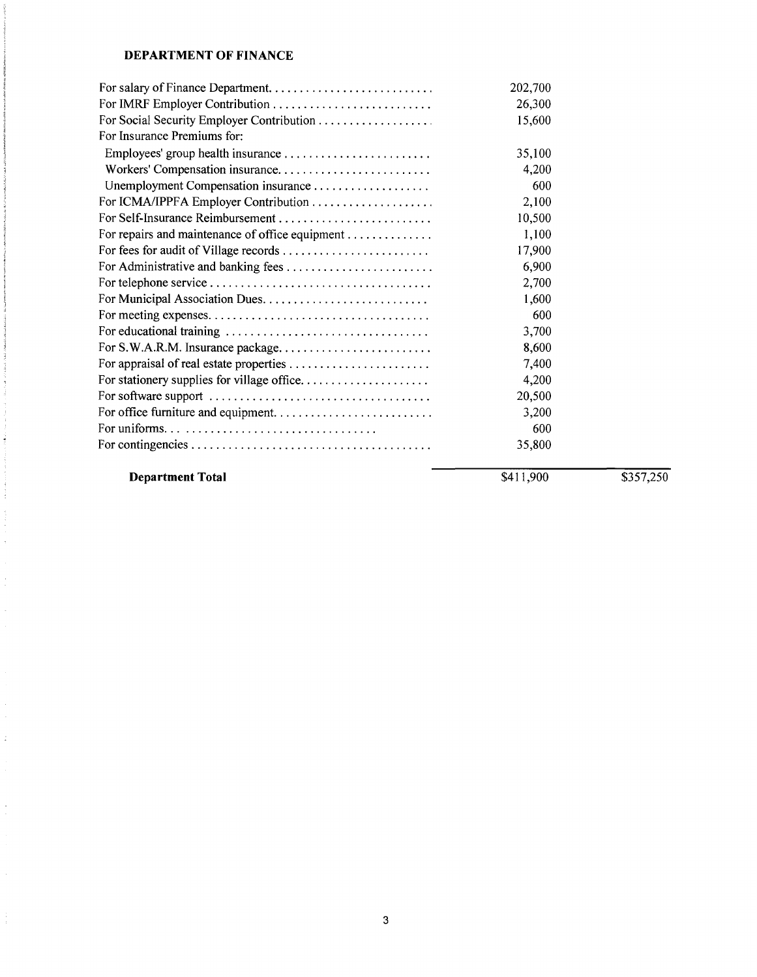# **DEPARTMENT OF FINANCE**

|                                                 | 202,700 |  |
|-------------------------------------------------|---------|--|
|                                                 | 26,300  |  |
| For Social Security Employer Contribution       | 15,600  |  |
| For Insurance Premiums for:                     |         |  |
|                                                 | 35,100  |  |
| Workers' Compensation insurance                 | 4,200   |  |
| Unemployment Compensation insurance             | 600     |  |
| For ICMA/IPPFA Employer Contribution            | 2,100   |  |
|                                                 | 10,500  |  |
| For repairs and maintenance of office equipment | 1,100   |  |
| For fees for audit of Village records           | 17,900  |  |
|                                                 | 6,900   |  |
|                                                 | 2,700   |  |
|                                                 | 1,600   |  |
|                                                 | 600     |  |
|                                                 | 3,700   |  |
| For S.W.A.R.M. Insurance package                | 8,600   |  |
|                                                 | 7,400   |  |
| For stationery supplies for village office      | 4,200   |  |
|                                                 | 20,500  |  |
|                                                 | 3,200   |  |
|                                                 | 600     |  |
|                                                 | 35,800  |  |

**Department Total** 

. The construction of the construction of the  $\mathcal{O}(n)$ 

 $\frac{1}{2}$ 

 $\bar{\gamma}$ 

 $\mathbb{P}^1$ 

 $\frac{1}{\sqrt{2}}$ 

 $\hat{\mathcal{L}}$ 

 $\frac{1}{4}$ 

\$411,900 \$357,250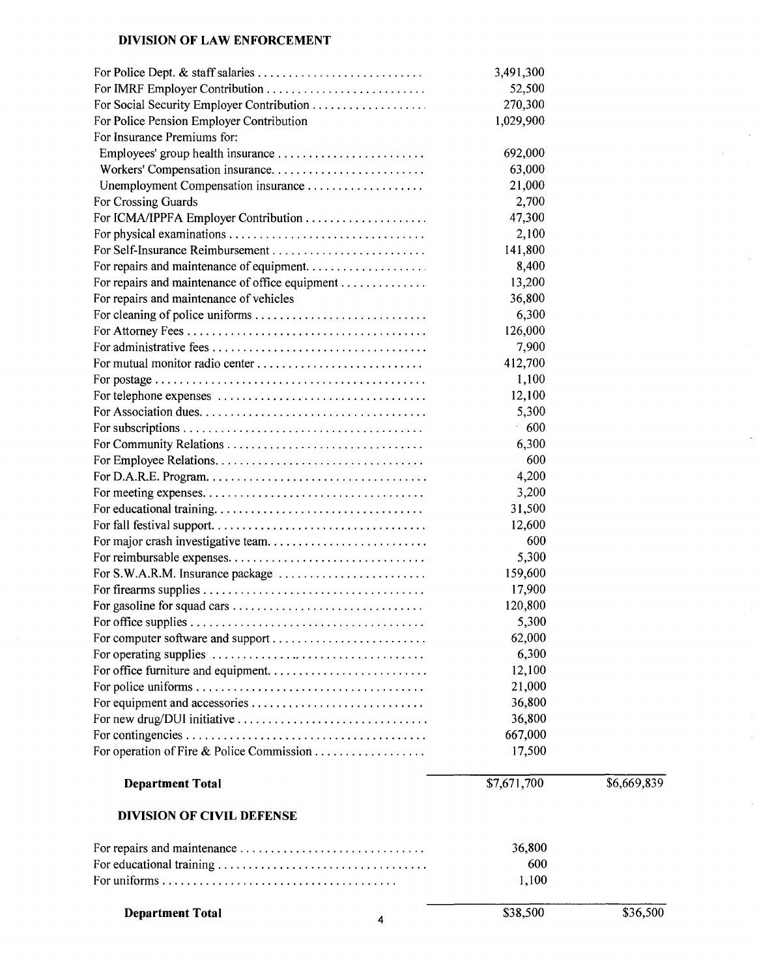### **DIVISION OF LAW ENFORCEMENT**

| <b>Department Total</b>                         | \$38,500         | \$36,500    |
|-------------------------------------------------|------------------|-------------|
|                                                 |                  |             |
|                                                 | 600<br>1,100     |             |
|                                                 | 36,800           |             |
|                                                 |                  |             |
| <b>DIVISION OF CIVIL DEFENSE</b>                |                  |             |
| <b>Department Total</b>                         | \$7,671,700      | \$6,669,839 |
|                                                 | 17,500           |             |
|                                                 | 667,000          |             |
|                                                 | 36,800           |             |
|                                                 | 36,800           |             |
|                                                 | 21,000           |             |
|                                                 | 12,100           |             |
|                                                 | 6,300            |             |
| For computer software and support               | 62,000           |             |
|                                                 | 5,300            |             |
|                                                 | 120,800          |             |
|                                                 | 17,900           |             |
|                                                 | 159,600          |             |
|                                                 | 5,300            |             |
|                                                 | 600              |             |
|                                                 | 12,600           |             |
|                                                 | 31,500           |             |
|                                                 | 3,200            |             |
|                                                 | 4,200            |             |
|                                                 |                  |             |
|                                                 | 6,300<br>600     |             |
|                                                 |                  |             |
|                                                 | $-600$           |             |
|                                                 | 5,300            |             |
|                                                 | 12,100           |             |
|                                                 | 1,100            |             |
| For mutual monitor radio center                 | 412,700          |             |
|                                                 | 7,900            |             |
|                                                 | 126,000          |             |
| For repairs and maintenance of vehicles         | 6,300            |             |
| For repairs and maintenance of office equipment | 13,200<br>36,800 |             |
|                                                 | 8,400            |             |
|                                                 | 141,800          |             |
|                                                 | 2,100            |             |
| For ICMA/IPPFA Employer Contribution            | 47,300           |             |
| For Crossing Guards                             | 2,700            |             |
|                                                 | 21,000           |             |
|                                                 | 63,000           |             |
|                                                 | 692,000          |             |
| For Insurance Premiums for:                     |                  |             |
| For Police Pension Employer Contribution        | 1,029,900        |             |
| For Social Security Employer Contribution       | 270,300          |             |
|                                                 | 52,500           |             |
|                                                 | 3,491,300        |             |
|                                                 |                  |             |

| <b>Department Total</b> |  |
|-------------------------|--|
|-------------------------|--|

 $\bar{\gamma}$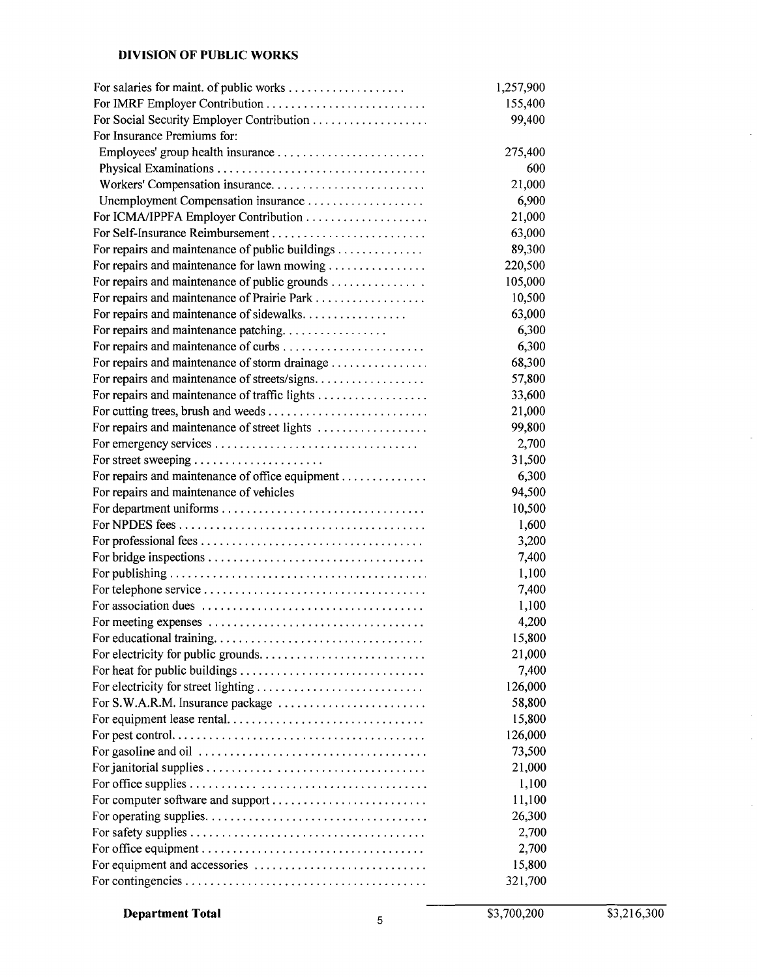# **DIVISION OF PUBLIC WORKS**

|                                                 | 1,257,900 |
|-------------------------------------------------|-----------|
| For IMRF Employer Contribution                  | 155,400   |
|                                                 | 99,400    |
| For Insurance Premiums for:                     |           |
| Employees' group health insurance               | 275,400   |
|                                                 | 600       |
| Workers' Compensation insurance                 | 21,000    |
| Unemployment Compensation insurance             | 6,900     |
|                                                 | 21,000    |
|                                                 | 63,000    |
| For repairs and maintenance of public buildings | 89,300    |
| For repairs and maintenance for lawn mowing     | 220,500   |
| For repairs and maintenance of public grounds   | 105,000   |
|                                                 | 10,500    |
| For repairs and maintenance of sidewalks        | 63,000    |
| For repairs and maintenance patching            | 6,300     |
|                                                 | 6,300     |
| For repairs and maintenance of storm drainage   | 68,300    |
| For repairs and maintenance of streets/signs    | 57,800    |
| For repairs and maintenance of traffic lights   | 33,600    |
|                                                 | 21,000    |
| For repairs and maintenance of street lights    | 99,800    |
|                                                 | 2,700     |
| For street sweeping                             | 31,500    |
| For repairs and maintenance of office equipment | 6,300     |
| For repairs and maintenance of vehicles         | 94,500    |
|                                                 | 10,500    |
|                                                 | 1,600     |
|                                                 | 3,200     |
|                                                 | 7,400     |
|                                                 | 1,100     |
|                                                 | 7,400     |
|                                                 | 1,100     |
|                                                 | 4,200     |
|                                                 | 15,800    |
|                                                 | 21,000    |
|                                                 | 7,400     |
| For electricity for street lighting             | 126,000   |
|                                                 | 58,800    |
|                                                 | 15,800    |
|                                                 | 126,000   |
|                                                 | 73,500    |
|                                                 | 21,000    |
|                                                 | 1,100     |
| For computer software and support               | 11,100    |
|                                                 | 26,300    |
|                                                 | 2,700     |
|                                                 | 2,700     |
|                                                 | 15,800    |
|                                                 | 321,700   |

**Department Total** <sup>5</sup>

\$3,700,200 \$3,216,300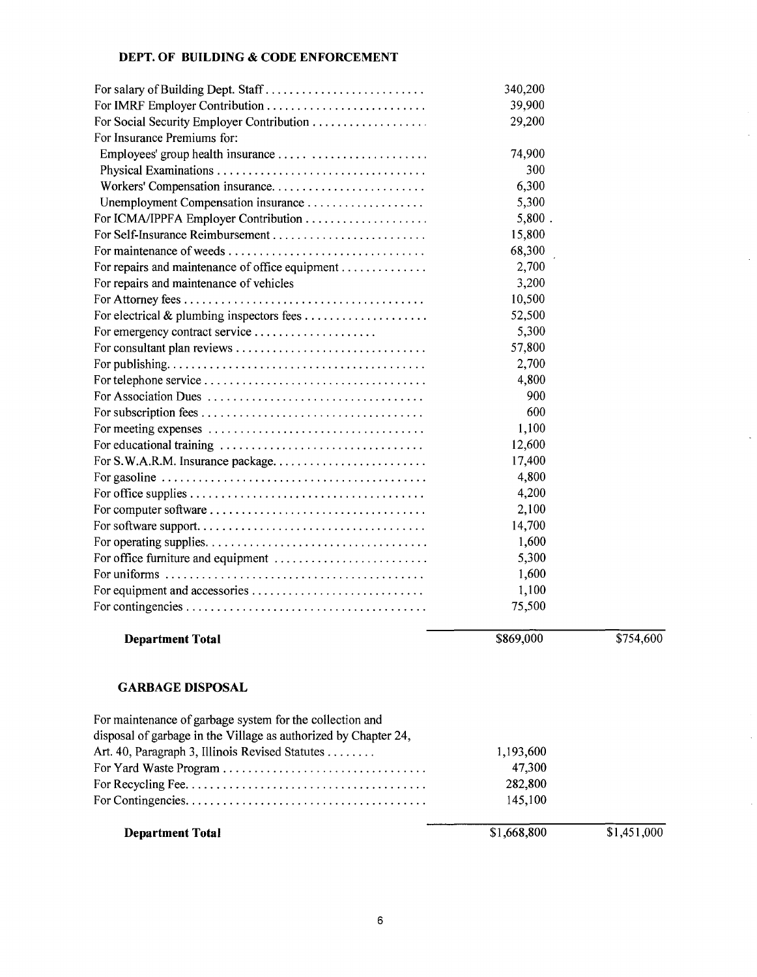# **DEPT. OF BUILDING & CODE ENFORCEMENT**

| <b>Department Total</b>                                                                       | \$1,668,800 | \$1,451,000 |
|-----------------------------------------------------------------------------------------------|-------------|-------------|
|                                                                                               |             |             |
|                                                                                               | 145,100     |             |
|                                                                                               | 282,800     |             |
|                                                                                               | 47,300      |             |
| Art. 40, Paragraph 3, Illinois Revised Statutes                                               | 1,193,600   |             |
| disposal of garbage in the Village as authorized by Chapter 24,                               |             |             |
| For maintenance of garbage system for the collection and                                      |             |             |
| <b>GARBAGE DISPOSAL</b>                                                                       |             |             |
| <b>Department Total</b>                                                                       | \$869,000   | \$754,600   |
|                                                                                               | 75,500      |             |
|                                                                                               | 1,100       |             |
|                                                                                               | 1,600       |             |
| For office furniture and equipment                                                            | 5,300       |             |
|                                                                                               | 1,600       |             |
|                                                                                               | 14,700      |             |
| For computer software $\ldots \ldots \ldots \ldots \ldots \ldots \ldots \ldots \ldots \ldots$ | 2,100       |             |
|                                                                                               | 4,200       |             |
|                                                                                               | 4,800       |             |
| For S.W.A.R.M. Insurance package                                                              | 17,400      |             |
|                                                                                               | 12,600      |             |
|                                                                                               | 1,100       |             |
|                                                                                               | 600         |             |
|                                                                                               | 900         |             |
|                                                                                               | 4,800       |             |
|                                                                                               | 2,700       |             |
| For consultant plan reviews                                                                   | 57,800      |             |
|                                                                                               | 5,300       |             |
|                                                                                               | 52,500      |             |
|                                                                                               | 10,500      |             |
| For repairs and maintenance of vehicles                                                       | 3,200       |             |
| For repairs and maintenance of office equipment                                               | 2,700       |             |
|                                                                                               | 68,300      |             |
|                                                                                               | 15,800      |             |
|                                                                                               | $5,800$ .   |             |
|                                                                                               | 5,300       |             |
| Workers' Compensation insurance                                                               | 6,300       |             |
|                                                                                               | 300         |             |
|                                                                                               | 74,900      |             |
| For Insurance Premiums for:                                                                   | 29,200      |             |
|                                                                                               | 39,900      |             |
| For salary of Building Dept. Staff                                                            | 340,200     |             |
|                                                                                               |             |             |

 $\ddot{\phantom{a}}$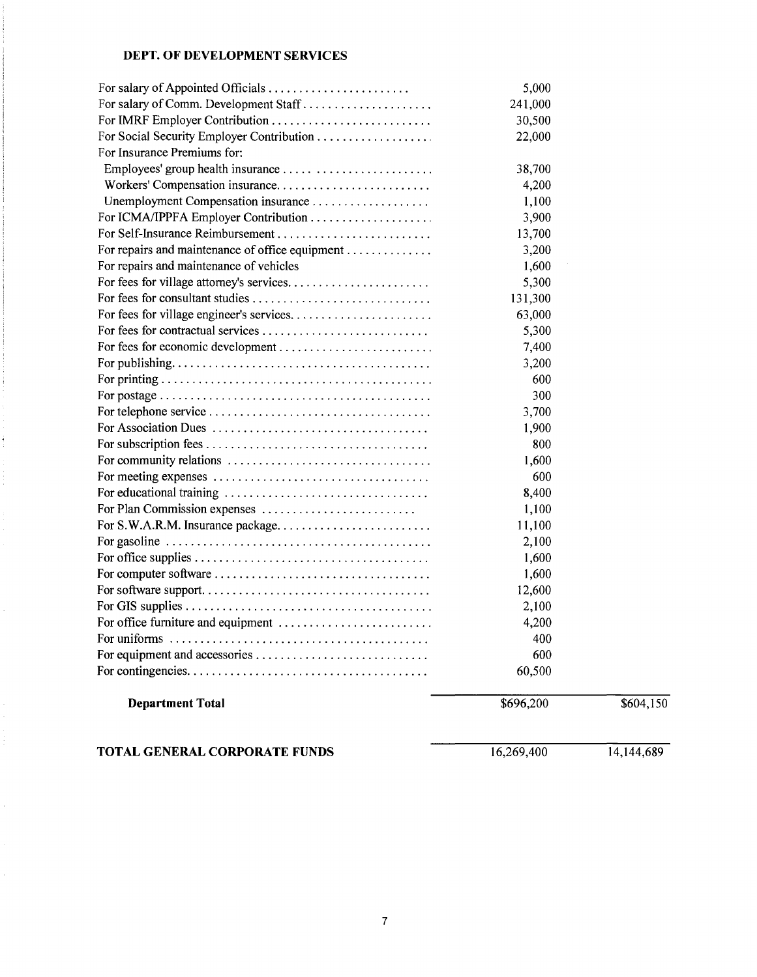## **DEPT. OF DEVELOPMENT SERVICES**

| <b>Department Total</b>                                                                            | \$696,200    | \$604,150 |
|----------------------------------------------------------------------------------------------------|--------------|-----------|
|                                                                                                    |              |           |
|                                                                                                    | 60,500       |           |
| For equipment and accessories                                                                      | 600          |           |
|                                                                                                    | 400          |           |
| For office furniture and equipment                                                                 | 4,200        |           |
|                                                                                                    | 2,100        |           |
|                                                                                                    | 12,600       |           |
|                                                                                                    | 1,600        |           |
|                                                                                                    | 1,600        |           |
| For gasoline $\ldots \ldots \ldots \ldots \ldots \ldots \ldots \ldots \ldots \ldots \ldots \ldots$ | 2,100        |           |
| For S.W.A.R.M. Insurance package                                                                   | 11,100       |           |
| For Plan Commission expenses                                                                       | 1,100        |           |
|                                                                                                    | 8,400        |           |
|                                                                                                    | 600          |           |
|                                                                                                    | 1,600        |           |
|                                                                                                    | 1,900<br>800 |           |
|                                                                                                    | 3,700        |           |
|                                                                                                    | 300          |           |
|                                                                                                    | 600          |           |
|                                                                                                    | 3,200        |           |
|                                                                                                    | 7,400        |           |
|                                                                                                    | 5,300        |           |
|                                                                                                    | 63,000       |           |
|                                                                                                    | 131,300      |           |
| For fees for village attorney's services                                                           | 5,300        |           |
| For repairs and maintenance of vehicles                                                            | 1,600        |           |
| For repairs and maintenance of office equipment                                                    | 3,200        |           |
|                                                                                                    | 13,700       |           |
|                                                                                                    | 3,900        |           |
| Unemployment Compensation insurance                                                                | 1,100        |           |
| Workers' Compensation insurance                                                                    | 4,200        |           |
|                                                                                                    | 38,700       |           |
| For Insurance Premiums for:                                                                        |              |           |
|                                                                                                    | 22,000       |           |
| For IMRF Employer Contribution                                                                     | 30,500       |           |
| For salary of Comm. Development Staff                                                              | 241,000      |           |
|                                                                                                    | 5,000        |           |

**TOTAL GENERAL CORPORATE FUNDS** 16,269,400 14,144,689

ŧ.

Ì,

Ċ,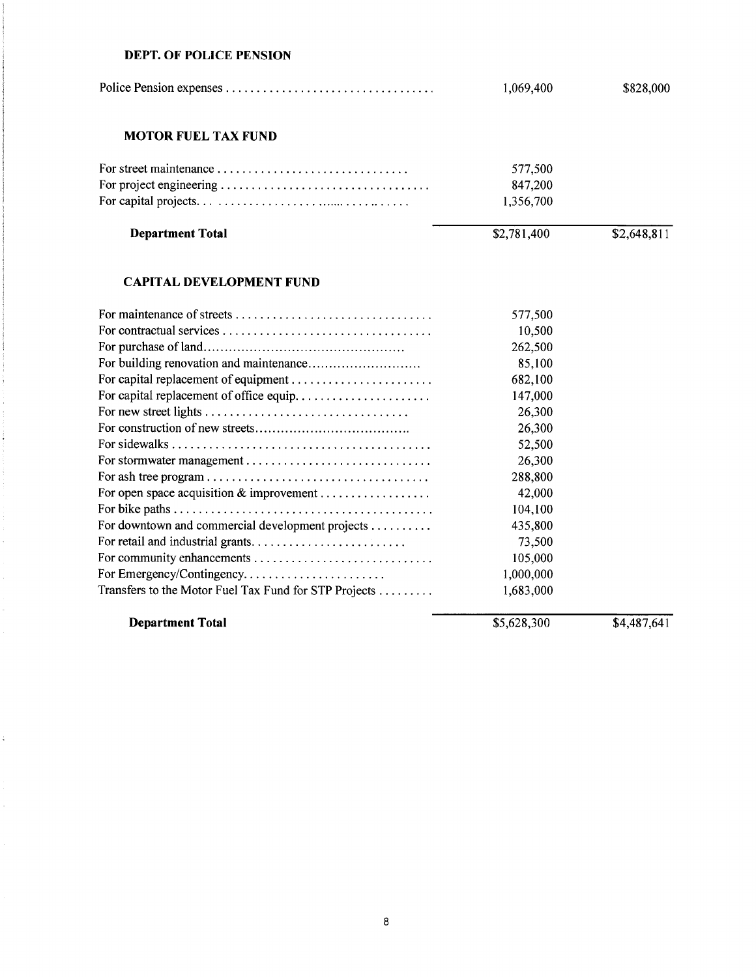#### **DEPT. OF POLICE PENSION**

 $\sim$  1000  $\sim$  1000  $\sim$ 

 $\frac{1}{2}$ 

ł,

l,

Ŷ,

 $\mathbb{C}$ 

 $\hat{\mathcal{L}}$ 

|                                                       | 1,069,400   | \$828,000   |
|-------------------------------------------------------|-------------|-------------|
| <b>MOTOR FUEL TAX FUND</b>                            |             |             |
|                                                       | 577,500     |             |
|                                                       | 847,200     |             |
|                                                       | 1,356,700   |             |
| <b>Department Total</b>                               | \$2,781,400 | \$2,648,811 |
| <b>CAPITAL DEVELOPMENT FUND</b>                       |             |             |
|                                                       | 577,500     |             |
|                                                       | 10,500      |             |
|                                                       | 262,500     |             |
|                                                       | 85,100      |             |
|                                                       | 682,100     |             |
|                                                       | 147,000     |             |
|                                                       | 26,300      |             |
|                                                       | 26,300      |             |
|                                                       | 52,500      |             |
|                                                       | 26,300      |             |
|                                                       | 288,800     |             |
| For open space acquisition & improvement              | 42,000      |             |
|                                                       | 104,100     |             |
| For downtown and commercial development projects      | 435,800     |             |
|                                                       | 73,500      |             |
| For community enhancements                            | 105,000     |             |
| For Emergency/Contingency                             | 1,000,000   |             |
| Transfers to the Motor Fuel Tax Fund for STP Projects | 1,683,000   |             |
| <b>Department Total</b>                               | \$5,628,300 | \$4,487,641 |

8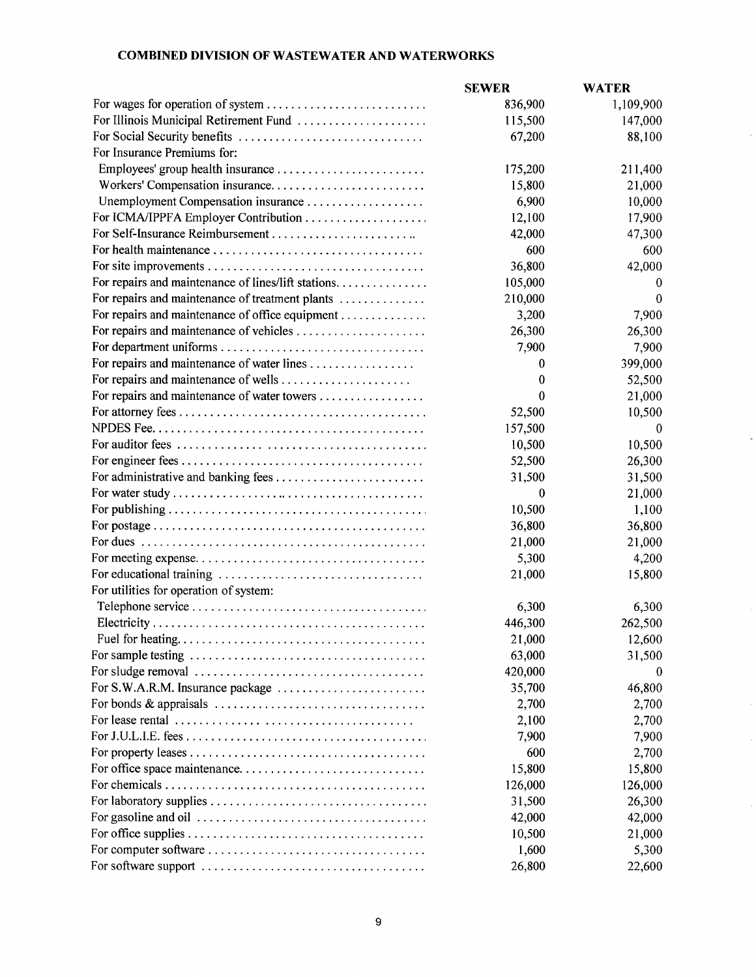# **COMBINED DIVISION OF WASTEWATER AND WATERWORKS**

|                                                                                          | <b>SEWER</b> | <b>WATER</b> |
|------------------------------------------------------------------------------------------|--------------|--------------|
|                                                                                          | 836,900      | 1,109,900    |
| For Illinois Municipal Retirement Fund                                                   | 115,500      | 147,000      |
|                                                                                          | 67,200       | 88,100       |
| For Insurance Premiums for:                                                              |              |              |
|                                                                                          | 175,200      | 211,400      |
|                                                                                          | 15,800       | 21,000       |
|                                                                                          | 6,900        | 10,000       |
|                                                                                          | 12,100       | 17,900       |
|                                                                                          | 42,000       | 47,300       |
|                                                                                          | 600          | 600          |
|                                                                                          | 36,800       | 42,000       |
| For repairs and maintenance of lines/lift stations.                                      | 105,000      | 0            |
| For repairs and maintenance of treatment plants                                          | 210,000      | $\Omega$     |
| For repairs and maintenance of office equipment                                          | 3,200        | 7,900        |
|                                                                                          | 26,300       | 26,300       |
|                                                                                          | 7,900        | 7,900        |
| For repairs and maintenance of water lines                                               | $\bf{0}$     | 399,000      |
| For repairs and maintenance of wells                                                     | $\bf{0}$     | 52,500       |
| For repairs and maintenance of water towers                                              | 0            | 21,000       |
|                                                                                          | 52,500       | 10,500       |
|                                                                                          | 157,500      | 0            |
|                                                                                          | 10,500       | 10,500       |
|                                                                                          | 52,500       | 26,300       |
|                                                                                          | 31,500       | 31,500       |
|                                                                                          | $\bf{0}$     | 21,000       |
|                                                                                          | 10,500       | 1,100        |
|                                                                                          | 36,800       | 36,800       |
|                                                                                          | 21,000       | 21,000       |
|                                                                                          | 5,300        | 4,200        |
|                                                                                          | 21,000       | 15,800       |
| For utilities for operation of system:                                                   |              |              |
|                                                                                          | 6,300        | 6,300        |
|                                                                                          | 446,300      | 262,500      |
|                                                                                          | 21,000       | 12,600       |
|                                                                                          | 63,000       | 31,500       |
|                                                                                          | 420,000      | 0            |
| For S.W.A.R.M. Insurance package                                                         | 35,700       | 46,800       |
|                                                                                          | 2,700        | 2,700        |
| For lease rental $\ldots \ldots \ldots \ldots \ldots \ldots \ldots \ldots \ldots \ldots$ | 2,100        | 2,700        |
|                                                                                          | 7,900        | 7,900        |
|                                                                                          | 600          | 2,700        |
|                                                                                          | 15,800       | 15,800       |
|                                                                                          | 126,000      | 126,000      |
|                                                                                          | 31,500       | 26,300       |
|                                                                                          | 42,000       | 42,000       |
|                                                                                          | 10,500       | 21,000       |
|                                                                                          | 1,600        | 5,300        |
|                                                                                          | 26,800       | 22,600       |
|                                                                                          |              |              |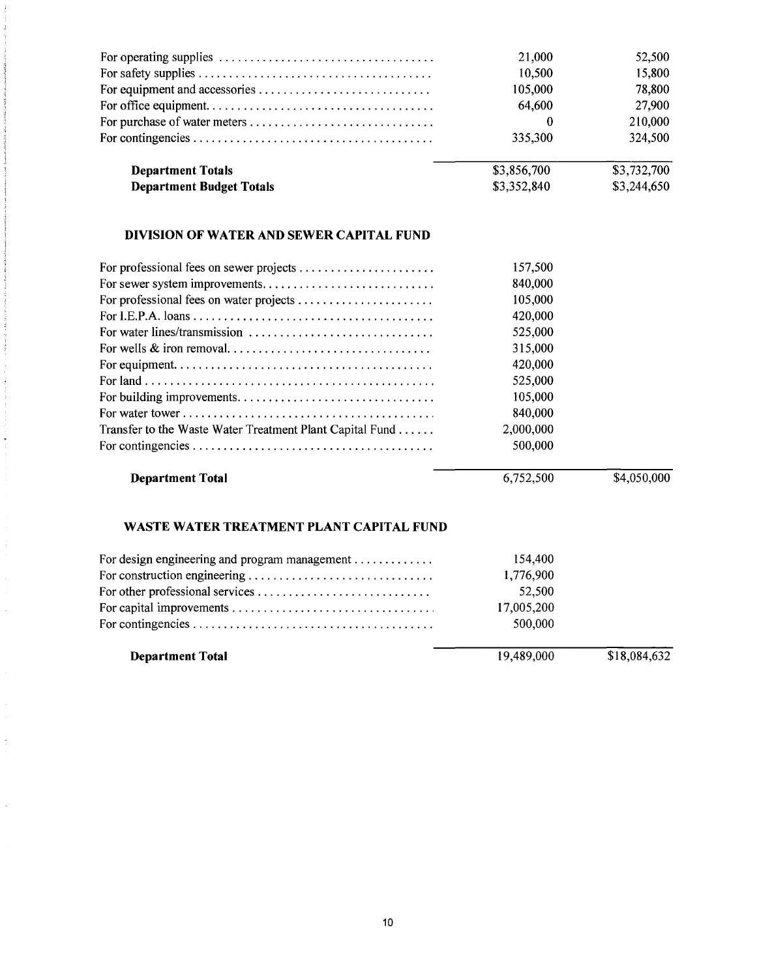| <b>Department Totals</b><br><b>Department Budget Totals</b>                                    | \$3,856,700<br>\$3,352,840 | \$3,732,700<br>\$3,244,650 |
|------------------------------------------------------------------------------------------------|----------------------------|----------------------------|
|                                                                                                | 335,300                    | 324,500                    |
|                                                                                                | $\theta$                   | 210,000                    |
|                                                                                                | 64,600                     | 27,900                     |
|                                                                                                | 105,000                    | 78,800                     |
|                                                                                                | 10,500                     | 15,800                     |
| For operating supplies $\ldots \ldots \ldots \ldots \ldots \ldots \ldots \ldots \ldots \ldots$ | 21,000                     | 52,500                     |
|                                                                                                |                            |                            |

# **DIVISION OF WATER AND SEWER CAPITAL FUND**

 $\frac{1}{2}$ 

÷.

 $\mathbb{Z}$ 

 $\hat{\boldsymbol{\beta}}$ 

 $\frac{1}{2}$ 

 $\hat{\mathcal{A}}$ 

|                                                          | 157,500   |             |
|----------------------------------------------------------|-----------|-------------|
|                                                          | 840,000   |             |
|                                                          | 105,000   |             |
|                                                          | 420,000   |             |
|                                                          | 525,000   |             |
|                                                          | 315,000   |             |
|                                                          | 420,000   |             |
|                                                          | 525,000   |             |
|                                                          | 105,000   |             |
|                                                          | 840,000   |             |
| Transfer to the Waste Water Treatment Plant Capital Fund | 2,000,000 |             |
|                                                          | 500,000   |             |
| <b>Department Total</b>                                  | 6.752.500 | \$4,050,000 |

### **WASTE WATER TREATMENT PLANT CAPITAL FUND**

| <b>Department Total</b>                       | 19,489,000 | \$18,084,632 |
|-----------------------------------------------|------------|--------------|
|                                               | 500,000    |              |
|                                               | 17,005,200 |              |
|                                               | 52,500     |              |
|                                               | 1,776,900  |              |
| For design engineering and program management | 154,400    |              |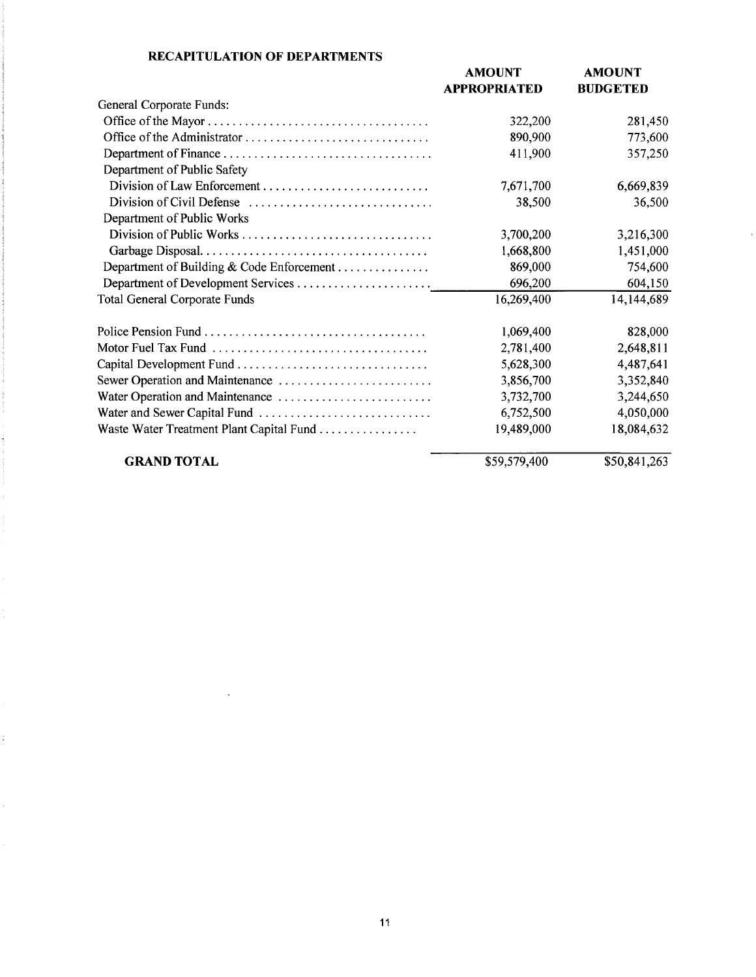|                                           | <b>AMOUNT</b><br><b>APPROPRIATED</b> | <b>AMOUNT</b><br><b>BUDGETED</b> |
|-------------------------------------------|--------------------------------------|----------------------------------|
| General Corporate Funds:                  |                                      |                                  |
|                                           | 322,200                              | 281,450                          |
|                                           | 890,900                              | 773,600                          |
|                                           | 411,900                              | 357,250                          |
| Department of Public Safety               |                                      |                                  |
|                                           | 7,671,700                            | 6,669,839                        |
|                                           | 38,500                               | 36,500                           |
| Department of Public Works                |                                      |                                  |
| Division of Public Works                  | 3,700,200                            | 3,216,300                        |
|                                           | 1,668,800                            | 1,451,000                        |
| Department of Building & Code Enforcement | 869,000                              | 754,600                          |
|                                           | 696,200                              | 604,150                          |
| <b>Total General Corporate Funds</b>      | 16,269,400                           | 14,144,689                       |
|                                           | 1,069,400                            | 828,000                          |
|                                           | 2,781,400                            | 2,648,811                        |
|                                           | 5,628,300                            | 4,487,641                        |
| Sewer Operation and Maintenance           | 3,856,700                            | 3,352,840                        |
|                                           | 3,732,700                            | 3,244,650                        |
|                                           | 6,752,500                            | 4,050,000                        |
| Waste Water Treatment Plant Capital Fund  | 19,489,000                           | 18,084,632                       |
| <b>GRAND TOTAL</b>                        | \$59,579,400                         | \$50,841,263                     |

### **RECAPITULATION OF DEPARTMENTS**

 $\ddot{\phantom{a}}$ 

ł,

l,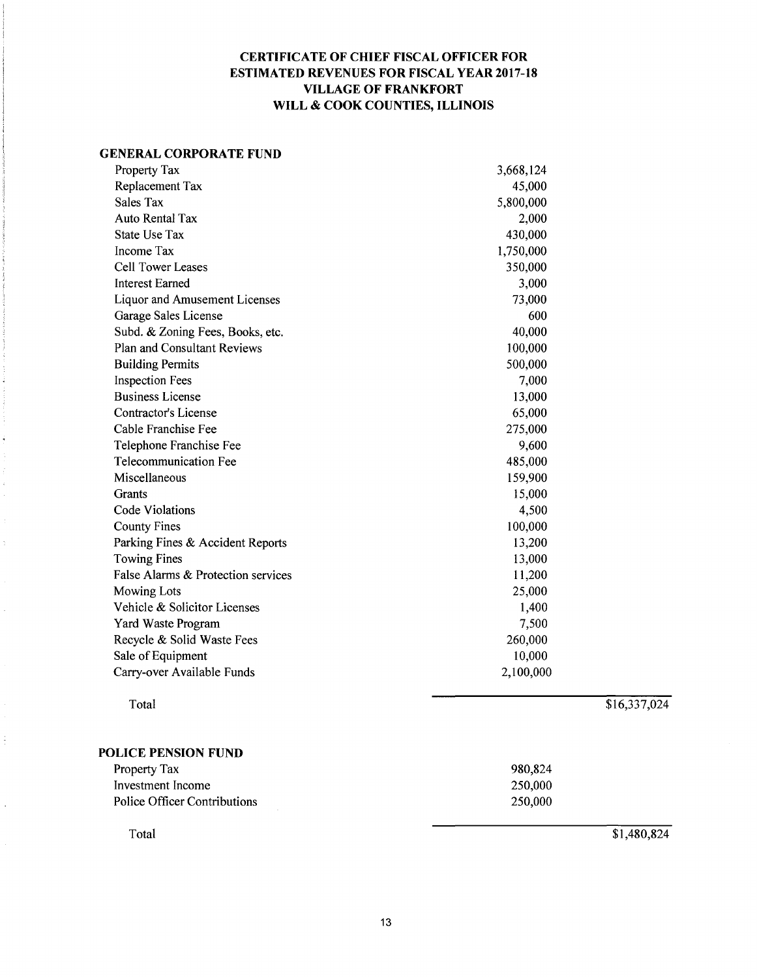## **CERTIFICATE OF CHIEF FISCAL OFFICER FOR ESTIMATED REVENUES FOR FISCAL YEAR 2017-18 VILLAGE OF FRANKFORT WILL & COOK COUNTIES, ILLINOIS**

#### **GENERAL CORPORATE FUND**

| Property Tax                         | 3,668,124 |              |
|--------------------------------------|-----------|--------------|
| Replacement Tax                      | 45,000    |              |
| Sales Tax                            | 5,800,000 |              |
| <b>Auto Rental Tax</b>               | 2,000     |              |
| <b>State Use Tax</b>                 | 430,000   |              |
| Income Tax                           | 1,750,000 |              |
| <b>Cell Tower Leases</b>             | 350,000   |              |
| <b>Interest Earned</b>               | 3,000     |              |
| <b>Liquor and Amusement Licenses</b> | 73,000    |              |
| Garage Sales License                 | 600       |              |
| Subd. & Zoning Fees, Books, etc.     | 40,000    |              |
| Plan and Consultant Reviews          | 100,000   |              |
| <b>Building Permits</b>              | 500,000   |              |
| <b>Inspection Fees</b>               | 7,000     |              |
| <b>Business License</b>              | 13,000    |              |
| Contractor's License                 | 65,000    |              |
| Cable Franchise Fee                  | 275,000   |              |
| Telephone Franchise Fee              | 9,600     |              |
| <b>Telecommunication Fee</b>         | 485,000   |              |
| Miscellaneous                        | 159,900   |              |
| Grants                               | 15,000    |              |
| <b>Code Violations</b>               | 4,500     |              |
| <b>County Fines</b>                  | 100,000   |              |
| Parking Fines & Accident Reports     | 13,200    |              |
| <b>Towing Fines</b>                  | 13,000    |              |
| False Alarms & Protection services   | 11,200    |              |
| <b>Mowing Lots</b>                   | 25,000    |              |
| Vehicle & Solicitor Licenses         | 1,400     |              |
| Yard Waste Program                   | 7,500     |              |
| Recycle & Solid Waste Fees           | 260,000   |              |
| Sale of Equipment                    | 10,000    |              |
| Carry-over Available Funds           | 2,100,000 |              |
|                                      |           |              |
| Total                                |           | \$16,337,024 |

#### **POLICE PENSION FUND**

÷

 $\ddot{\phantom{a}}$ 

| Property Tax                 | 980,824     |
|------------------------------|-------------|
| Investment Income            | 250,000     |
| Police Officer Contributions | 250,000     |
| Total                        | \$1,480,824 |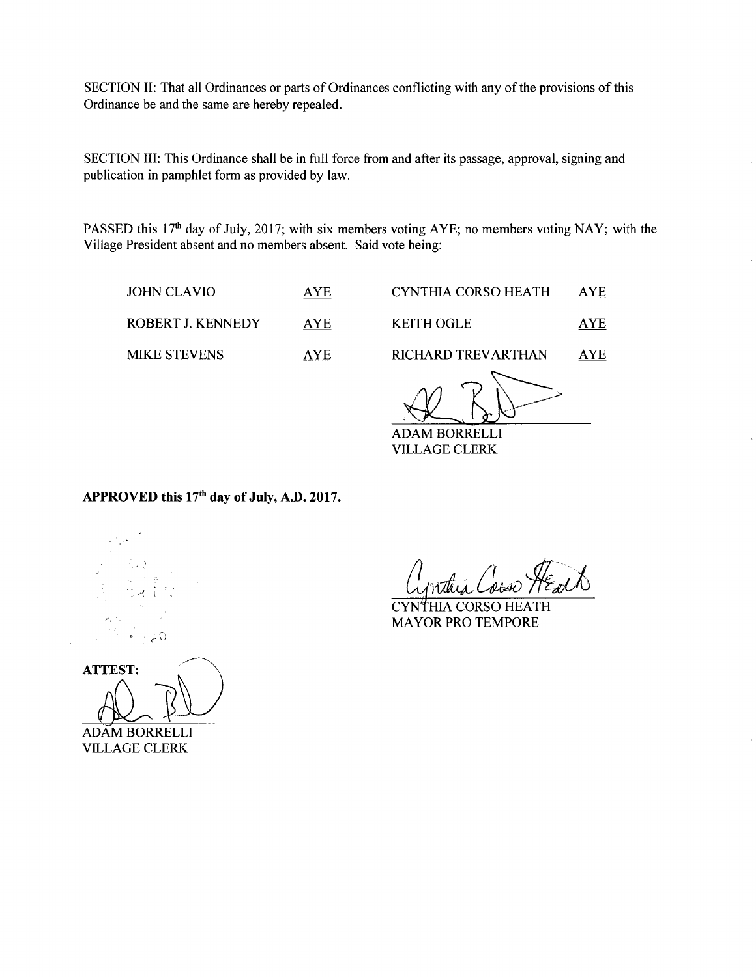SECTION II: That all Ordinances or parts of Ordinances conflicting with any of the provisions of this Ordinance be and the same are hereby repealed.

SECTION III: This Ordinance shall be in full force from and after its passage, approval, signing and publication in pamphlet form as provided by law.

PASSED this 17<sup>th</sup> day of July, 2017; with six members voting AYE; no members voting NAY; with the Village President absent and no members absent. Said vote being:

| JOHN CLAVIO         | <b>AYE</b> |
|---------------------|------------|
| ROBERT J. KENNEDY   | <b>AYE</b> |
| <b>MIKE STEVENS</b> | AYE.       |

KEITH OGLE AYE

CYNTHIA CORSO HEATH AYE

RICHARD TREVARTHAN AYE

EITH OGLE <u>AYI</u><br>CHARD TREVARTHAN <u>AYI</u><br>DAM BORRELLI

ADAM BORRELLI VILLAGE CLERK

## APPROVED this 17<sup>th</sup> day of July, A.D. 2017.

-- \_; .. • l '.~ *)*  c. *'C* 0.

**ATTEST:** 

ADAM BORRELLI VILLAGE CLERK

<u>Cynthia Coise ME</u><br>CYNTHIA CORSO HEATH</u>

MAYOR PRO TEMPORE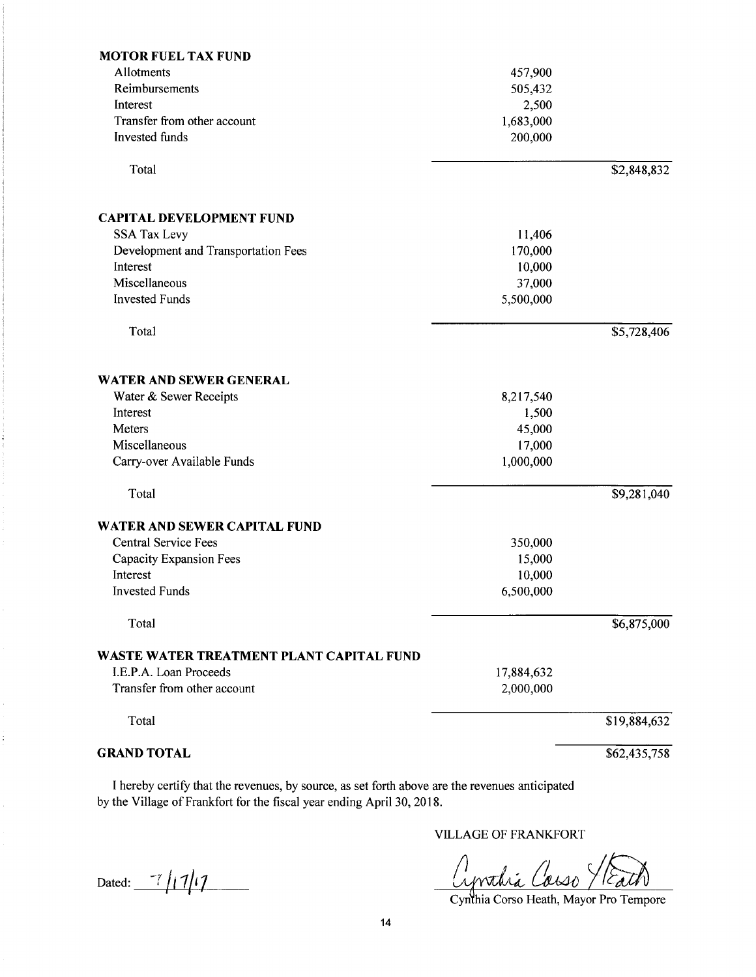| <b>MOTOR FUEL TAX FUND</b>                      |            |              |
|-------------------------------------------------|------------|--------------|
| Allotments                                      | 457,900    |              |
| Reimbursements                                  | 505,432    |              |
| Interest                                        | 2,500      |              |
| Transfer from other account                     | 1,683,000  |              |
| <b>Invested</b> funds                           | 200,000    |              |
| Total                                           |            | \$2,848,832  |
| <b>CAPITAL DEVELOPMENT FUND</b>                 |            |              |
| <b>SSA Tax Levy</b>                             | 11,406     |              |
| Development and Transportation Fees             | 170,000    |              |
| Interest                                        | 10,000     |              |
| Miscellaneous                                   | 37,000     |              |
| <b>Invested Funds</b>                           | 5,500,000  |              |
| Total                                           |            | \$5,728,406  |
| <b>WATER AND SEWER GENERAL</b>                  |            |              |
| Water & Sewer Receipts                          | 8,217,540  |              |
| Interest                                        | 1,500      |              |
| Meters                                          | 45,000     |              |
| Miscellaneous                                   | 17,000     |              |
| Carry-over Available Funds                      | 1,000,000  |              |
| Total                                           |            | \$9,281,040  |
| <b>WATER AND SEWER CAPITAL FUND</b>             |            |              |
| <b>Central Service Fees</b>                     | 350,000    |              |
| Capacity Expansion Fees                         | 15,000     |              |
| Interest                                        | 10,000     |              |
| <b>Invested Funds</b>                           | 6,500,000  |              |
| Total                                           |            | \$6,875,000  |
| <b>WASTE WATER TREATMENT PLANT CAPITAL FUND</b> |            |              |
| I.E.P.A. Loan Proceeds                          | 17,884,632 |              |
| Transfer from other account                     | 2,000,000  |              |
| Total                                           |            | \$19,884,632 |
| <b>GRAND TOTAL</b>                              |            | \$62,435,758 |

I hereby certify that the revenues, by source, as set forth above are the revenues anticipated by the Village of Frankfort for the fiscal year ending April 30, 2018.

Dated:  $\frac{7}{1111}$ 

 $\frac{1}{2}$ 

 $\hat{\mathcal{L}}$ 

VILLAGE OF FRANKFORT

Aprodica Causo Y Eath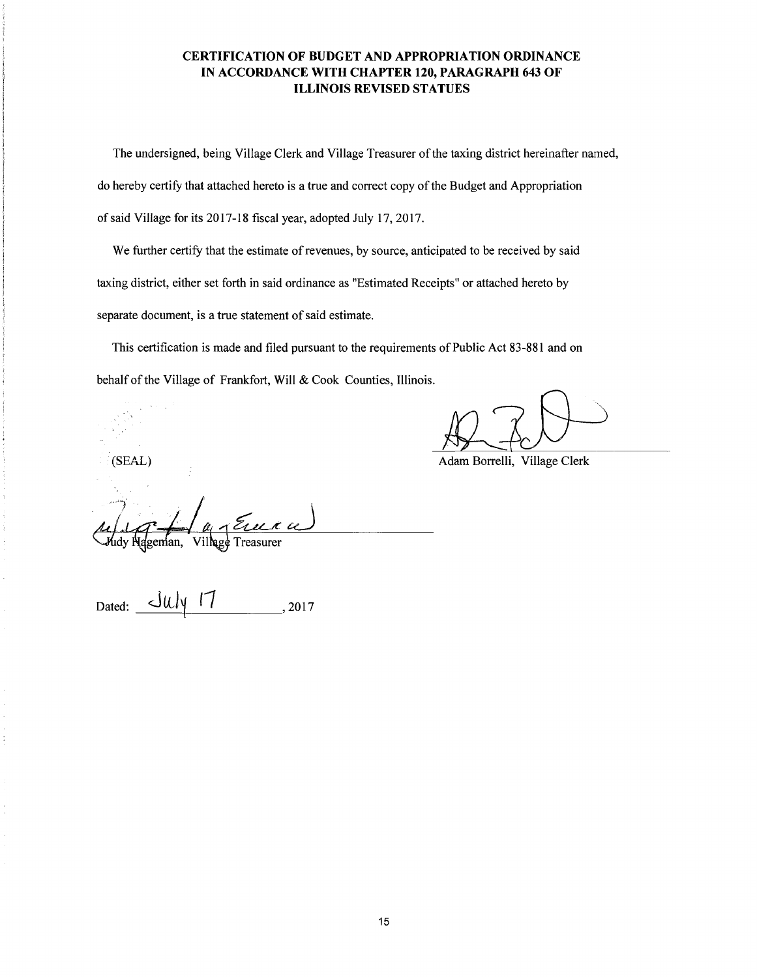#### **CERTIFICATION OF BUDGET AND APPROPRIATION ORDINANCE IN ACCORDANCE WITH CHAPTER 120, PARAGRAPH 643 OF ILLINOIS REVISED STATUES**

The undersigned, being Village Clerk and Village Treasurer of the taxing district hereinafter named, do hereby certify that attached hereto is a true and correct copy of the Budget and Appropriation of said Village for its 2017-18 fiscal year, adopted July 17, 2017.

We further certify that the estimate of revenues, by source, anticipated to be received by said taxing district, either set forth in said ordinance as "Estimated Receipts" or attached hereto by separate document, is a true statement of said estimate.

This certification is made and filed pursuant to the requirements of Public Act 83-881 and on behalf of the Village of Frankfort, Will & Cook Counties, Illinois.

(SEAL) Adam Borrelli, Village Clerk

Village Treasurer lgeman.

 $July$  17 Dated: , 2017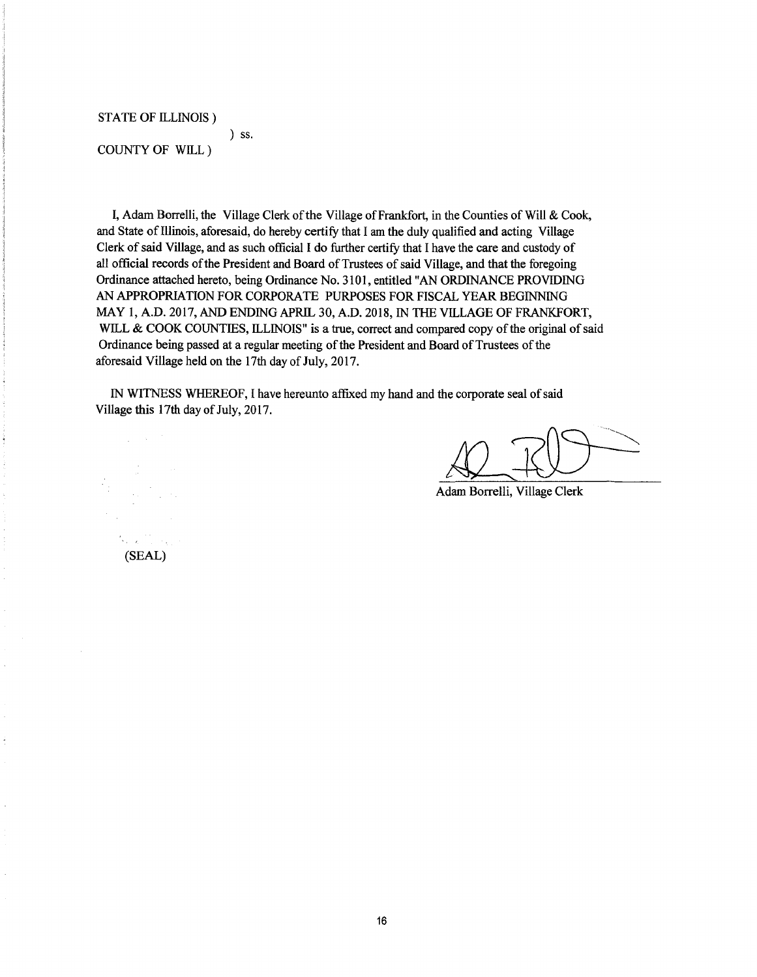STATE OF ILLINOIS)

COUNTY OF WILL)

) ss.

I, Adam Borrelli, the Village Clerk of the Village of Frankfort, in the Counties of Will  $& \mathcal{L}$  Cook, and State of Illinois, aforesaid, do hereby certify that I am the duly qualified and acting Village Clerk of said Village, and as such official I do further certify that I have the care and custody of all official records of the President and Board of Trustees of said Village, and that the foregoing Ordinance attached hereto, being Ordinance No. 310 I, entitled "AN ORDINANCE PROVIDING AN APPROPRIATION FOR CORPORA TE PURPOSES FOR FISCAL YEAR BEGINNING MAY I, A.D. 2017, AND ENDING APRIL 30, A.D. 2018, IN THE VILLAGE OF FRANKFORT, WILL & COOK COUNTIES, ILLINOIS" is a true, correct and compared copy of the original of said Ordinance being passed at a regular meeting of the President and Board of Trustees of the aforesaid Village held on the 17th day of July, 2017.

IN WITNESS WHEREOF, I have hereunto affixed my hand and the corporate seal of said Village this 17th day of July, 2017.

Adam Borrelli, Village Clerk

(SEAL)